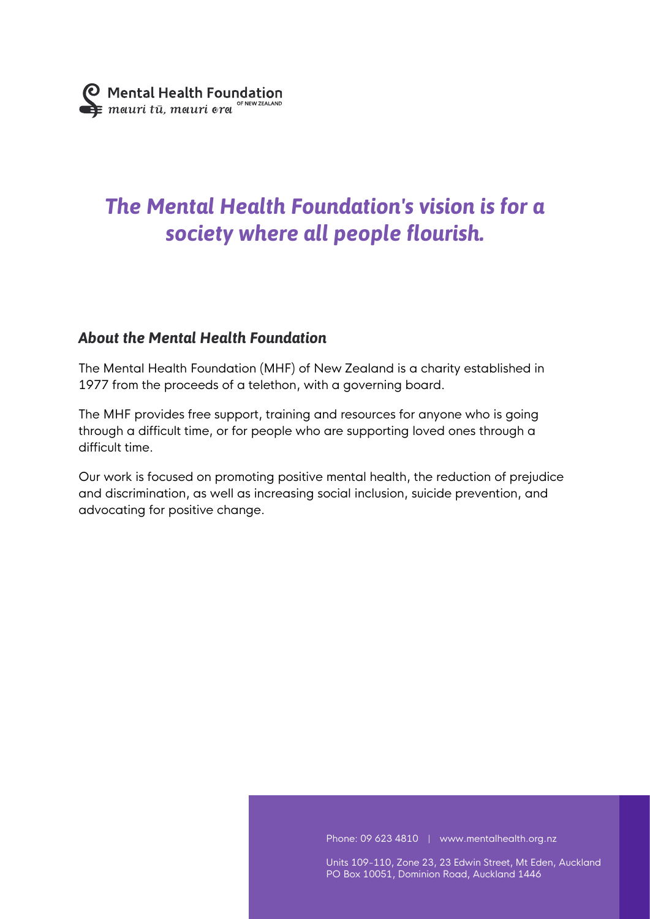# *The Mental Health Foundation's vision is for a society where all people flourish.*

### *About the Mental Health Foundation*

The Mental Health Foundation (MHF) of New Zealand is a charity established in 1977 from the proceeds of a telethon, with a governing board.

The MHF provides free support, training and resources for anyone who is going through a difficult time, or for people who are supporting loved ones through a difficult time.

Our work is focused on promoting positive mental health, the reduction of prejudice and discrimination, as well as increasing social inclusion, suicide prevention, and advocating for positive change.

Phone: 09 623 4810 | www.mentalhealth.org.nz

Units 109-110, Zone 23, 23 Edwin Street, Mt Eden, Auckland PO Box 10051, Dominion Road, Auckland 1446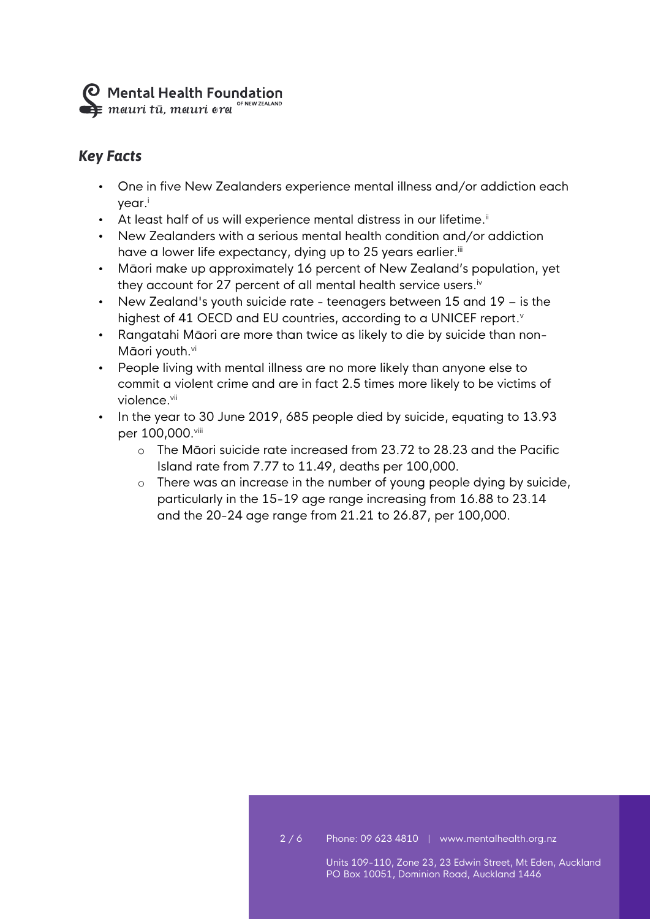**O** Mental Health Foundation  $\sum_{\text{SFR}}$  meturi tū, meturi era <sup>of NEW ZEALAND</sup>

## *Key Facts*

- One in five New Zealanders experience mental illness and/or addiction each year. i
- At least half of us will experience mental distress in our lifetime.<sup>ii</sup>
- New Zealanders with a serious mental health condition and/or addiction have a lower life expectancy, dying up to 25 years earlier.'"
- Māori make up approximately 16 percent of New Zealand's population, yet they account for 27 percent of all mental health service users. $^{\mathrm{i}\mathrm{v}}$
- New Zealand's youth suicide rate teenagers between 15 and 19 is the highest of 41 OECD and EU countries, according to a UNICEF report. v
- Rangatahi Māori are more than twice as likely to die by suicide than non-Māori youth.vi
- People living with mental illness are no more likely than anyone else to commit a violent crime and are in fact 2.5 times more likely to be victims of violence.<sup>vii</sup>
- In the year to 30 June 2019, 685 people died by suicide, equating to 13.93 per 100,000.viii
	- o The Māori suicide rate increased from 23.72 to 28.23 and the Pacific Island rate from 7.77 to 11.49, deaths per 100,000.
	- o There was an increase in the number of young people dying by suicide, particularly in the 15-19 age range increasing from 16.88 to 23.14 and the 20-24 age range from 21.21 to 26.87, per 100,000.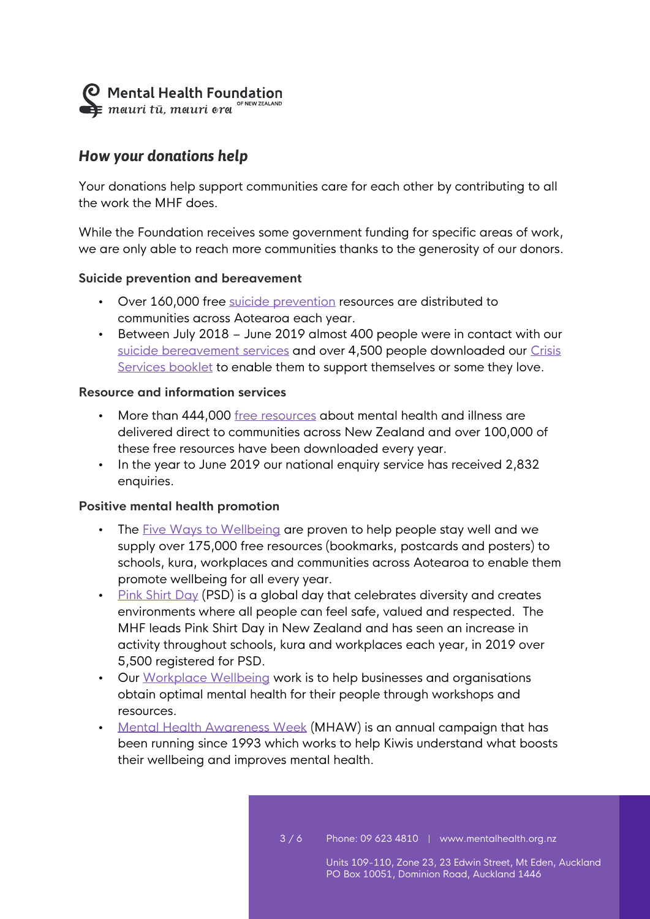Mental Health Foundation

### *How your donations help*

Your donations help support communities care for each other by contributing to all the work the MHF does.

While the Foundation receives some government funding for specific areas of work, we are only able to reach more communities thanks to the generosity of our donors.

#### **Suicide prevention and bereavement**

- Over 160,000 free [suicide prevention](https://www.mentalhealth.org.nz/home/our-work/category/51/suicide-prevention) resources are distributed to communities across Aotearoa each year.
- Between July 2018 June 2019 almost 400 people were in contact with our [suicide bereavement services](https://www.mentalhealth.org.nz/get-help/suicide-bereavement-3?stage=Stage) and over 4,500 people downloaded our Crisis [Services booklet](https://www.mentalhealth.org.nz/assets/Updated-pdfs-2019/Helplines-Brochure-2019.pdf) to enable them to support themselves or some they love.

#### **Resource and information services**

- More than 444,000 [free resources](https://shop.mentalhealth.org.nz/) about mental health and illness are delivered direct to communities across New Zealand and over 100,000 of these free resources have been downloaded every year.
- In the year to June 2019 our national enquiry service has received 2,832 enquiries.

#### **Positive mental health promotion**

- The [Five Ways to Wellbeing](https://www.mentalhealth.org.nz/home/ways-to-wellbeing/) are proven to help people stay well and we supply over 175,000 free resources (bookmarks, postcards and posters) to schools, kura, workplaces and communities across Aotearoa to enable them promote wellbeing for all every year.
- [Pink Shirt Day](https://www.pinkshirtday.org.nz/) (PSD) is a global day that celebrates diversity and creates environments where all people can feel safe, valued and respected. The MHF leads Pink Shirt Day in New Zealand and has seen an increase in activity throughout schools, kura and workplaces each year, in 2019 over 5,500 registered for PSD.
- Our [Workplace Wellbeing](https://www.mentalhealth.org.nz/home/our-work/category/27/workplace-wellbeing) work is to help businesses and organisations obtain optimal mental health for their people through workshops and resources.
- [Mental Health Awareness Week](https://mhaw.nz/) (MHAW) is an annual campaign that has been running since 1993 which works to help Kiwis understand what boosts their wellbeing and improves mental health.

3 / 6 Phone: 09 623 4810 | www.mentalhealth.org.nz

Units 109-110, Zone 23, 23 Edwin Street, Mt Eden, Auckland PO Box 10051, Dominion Road, Auckland 1446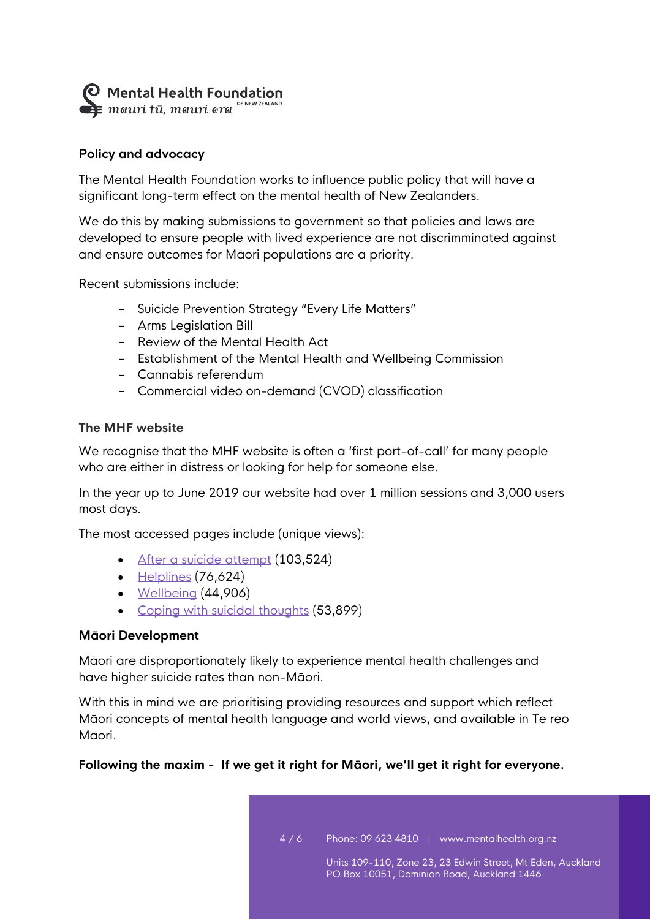Mental Health Foundation

#### **Policy and advocacy**

The Mental Health Foundation works to influence public policy that will have a significant long-term effect on the mental health of New Zealanders.

We do this by making submissions to government so that policies and laws are developed to ensure people with lived experience are not discrimminated against and ensure outcomes for Māori populations are a priority.

Recent submissions include:

- Suicide Prevention Strategy "Every Life Matters"
- Arms Legislation Bill
- Review of the Mental Health Act
- Establishment of the Mental Health and Wellbeing Commission
- Cannabis referendum
- Commercial video on-demand (CVOD) classification

#### **The MHF website**

We recognise that the MHF website is often a 'first port-of-call' for many people who are either in distress or looking for help for someone else.

In the year up to June 2019 our website had over 1 million sessions and 3,000 users most days.

The most accessed pages include (unique views):

- [After a suicide attempt](https://www.mentalhealth.org.nz/get-help/a-z/resource/51/suicide-after-a-suicide-attempt) (103,524)
- [Helplines](https://www.mentalhealth.org.nz/get-help/in-crisis/helplines/) (76,624)
- [Wellbeing](https://www.mentalhealth.org.nz/home/ways-to-wellbeing/) (44,906)
- [Coping with suicidal thoughts](https://www.mentalhealth.org.nz/get-help/a-z/resource/50/suicide-coping-with-suicidal-thoughts) (53,899)

#### **Māori Development**

Māori are disproportionately likely to experience mental health challenges and have higher suicide rates than non-Māori.

With this in mind we are prioritising providing resources and support which reflect Māori concepts of mental health language and world views, and available in Te reo Māori.

#### **Following the maxim - If we get it right for Māori, we'll get it right for everyone.**

4 / 6 Phone: 09 623 4810 | www.mentalhealth.org.nz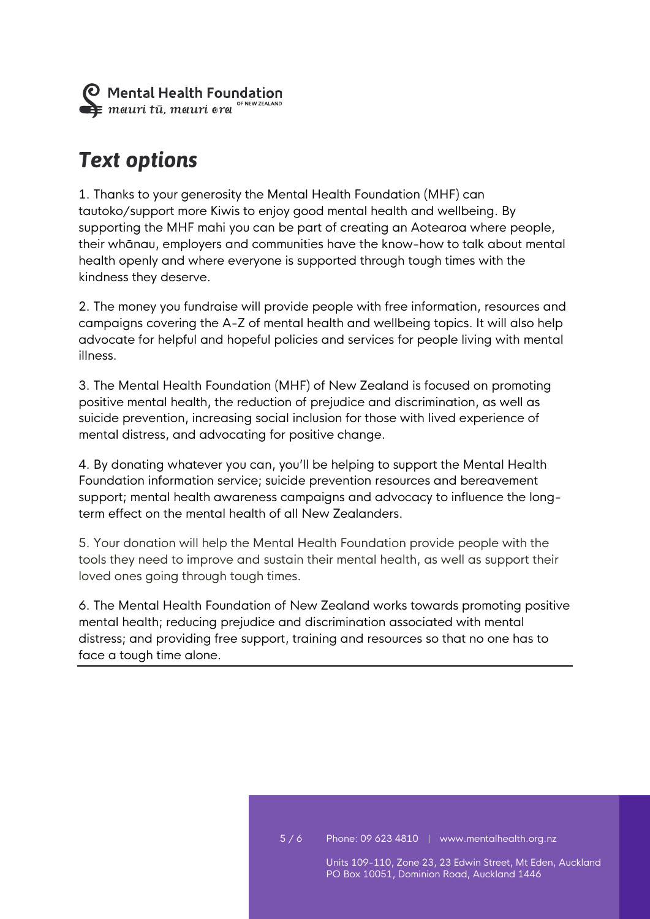

## *Text options*

1. Thanks to your generosity the Mental Health Foundation (MHF) can tautoko/support more Kiwis to enjoy good mental health and wellbeing. By supporting the MHF mahi you can be part of creating an Aotearoa where people, their whānau, employers and communities have the know-how to talk about mental health openly and where everyone is supported through tough times with the kindness they deserve.

2. The money you fundraise will provide people with free information, resources and campaigns covering the A-Z of mental health and wellbeing topics. It will also help advocate for helpful and hopeful policies and services for people living with mental illness.

3. The Mental Health Foundation (MHF) of New Zealand is focused on promoting positive mental health, the reduction of prejudice and discrimination, as well as suicide prevention, increasing social inclusion for those with lived experience of mental distress, and advocating for positive change.

4. By donating whatever you can, you'll be helping to support the Mental Health Foundation information service; suicide prevention resources and bereavement support; mental health awareness campaigns and advocacy to influence the longterm effect on the mental health of all New Zealanders.

5. Your donation will help the Mental Health Foundation provide people with the tools they need to improve and sustain their mental health, as well as support their loved ones going through tough times.

6. The Mental Health Foundation of New Zealand works towards promoting positive mental health; reducing prejudice and discrimination associated with mental distress; and providing free support, training and resources so that no one has to face a tough time alone.

PO Box 10051, Dominion Road, Auckland 1446

Units 109-110, Zone 23, 23 Edwin Street, Mt Eden, Auckland